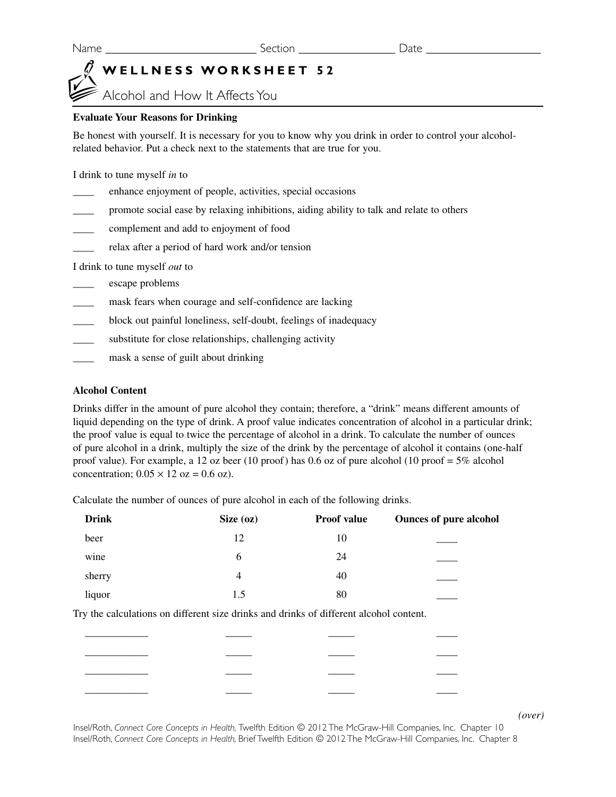# **WELLNESS WORKSHEET 52**

Alcohol and How It Affects You

### **Evaluate Your Reasons for Drinking**

Be honest with yourself. It is necessary for you to know why you drink in order to control your alcoholrelated behavior. Put a check next to the statements that are true for you.

I drink to tune myself *in* to

| <b>Contract Contract Contract Contract</b> | enhance enjoyment of people, activities, special occasions                               |
|--------------------------------------------|------------------------------------------------------------------------------------------|
|                                            | promote social ease by relaxing inhibitions, aiding ability to talk and relate to others |

- \_\_\_\_ complement and add to enjoyment of food
- relax after a period of hard work and/or tension

I drink to tune myself *out* to

- \_\_\_\_ escape problems
- mask fears when courage and self-confidence are lacking
- block out painful loneliness, self-doubt, feelings of inadequacy
- substitute for close relationships, challenging activity
- mask a sense of guilt about drinking

#### **Alcohol Content**

Drinks differ in the amount of pure alcohol they contain; therefore, a "drink" means different amounts of liquid depending on the type of drink. A proof value indicates concentration of alcohol in a particular drink; the proof value is equal to twice the percentage of alcohol in a drink. To calculate the number of ounces of pure alcohol in a drink, multiply the size of the drink by the percentage of alcohol it contains (one-half proof value). For example, a 12 oz beer (10 proof) has 0.6 oz of pure alcohol (10 proof =  $5\%$  alcohol concentration;  $0.05 \times 12$  oz = 0.6 oz).

Calculate the number of ounces of pure alcohol in each of the following drinks.

| <b>Drink</b> | Size $(oz)$    | <b>Proof value</b> | <b>Ounces of pure alcohol</b> |
|--------------|----------------|--------------------|-------------------------------|
| beer         | 12             | 10                 |                               |
| wine         | 6              | 24                 |                               |
| sherry       | $\overline{4}$ | 40                 |                               |
| liquor       | 1.5            | 80                 |                               |
|              |                |                    |                               |

Try the calculations on different size drinks and drinks of different alcohol content.

\_\_\_\_\_\_\_\_\_\_\_\_ \_\_\_\_\_ \_\_\_\_\_ \_\_\_\_ \_\_\_\_\_\_\_\_\_\_\_\_ \_\_\_\_\_ \_\_\_\_\_ \_\_\_\_ \_\_\_\_\_\_\_\_\_\_\_\_ \_\_\_\_\_ \_\_\_\_\_ \_\_\_\_ \_\_\_\_\_\_\_\_\_\_\_\_ \_\_\_\_\_ \_\_\_\_\_ \_\_\_\_

*(over)*

Insel/Roth, *Connect Core Concepts in Health,* Twelfth Edition © 2012 The McGraw-Hill Companies, Inc. Chapter 10 Insel/Roth, *Connect Core Concepts in Health,* Brief Twelfth Edition © 2012 The McGraw-Hill Companies, Inc. Chapter 8